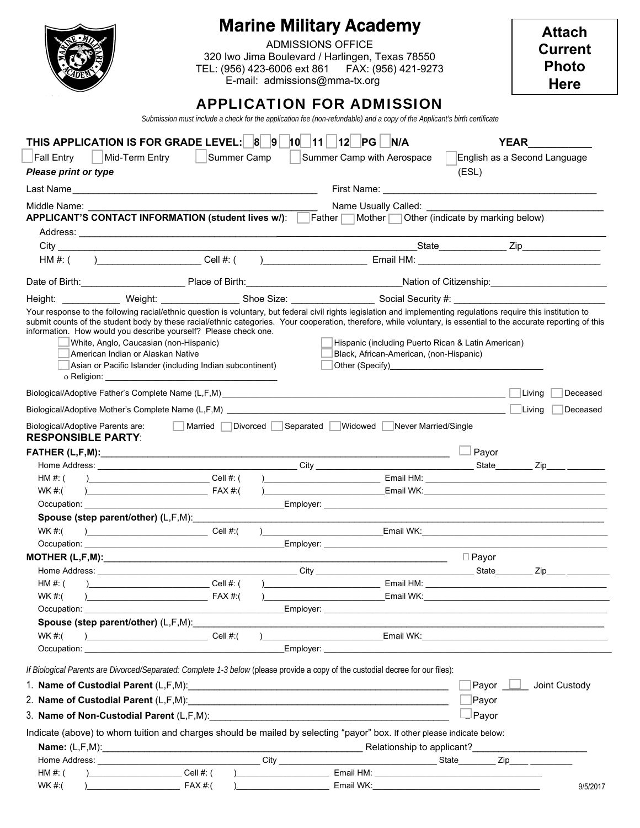|                                                                                                                                                                                                                                                                                                                                                                                  |                 | <b>Marine Military Academy</b><br><b>ADMISSIONS OFFICE</b><br>320 Iwo Jima Boulevard / Harlingen, Texas 78550<br>TEL: (956) 423-6006 ext 861  FAX: (956) 421-9273<br>E-mail: admissions@mma-tx.org                                   |              | <b>Attach</b><br><b>Current</b><br><b>Photo</b><br><b>Here</b> |
|----------------------------------------------------------------------------------------------------------------------------------------------------------------------------------------------------------------------------------------------------------------------------------------------------------------------------------------------------------------------------------|-----------------|--------------------------------------------------------------------------------------------------------------------------------------------------------------------------------------------------------------------------------------|--------------|----------------------------------------------------------------|
|                                                                                                                                                                                                                                                                                                                                                                                  |                 | <b>APPLICATION FOR ADMISSION</b><br>Submission must include a check for the application fee (non-refundable) and a copy of the Applicant's birth certificate                                                                         |              |                                                                |
| THIS APPLICATION IS FOR GRADE LEVEL: 8 9 10 11 2 PG N/A                                                                                                                                                                                                                                                                                                                          |                 |                                                                                                                                                                                                                                      |              | <b>YEAR</b>                                                    |
| Mid-Term Entry<br><b>Fall Entry</b>                                                                                                                                                                                                                                                                                                                                              | Summer Camp     | Summer Camp with Aerospace                                                                                                                                                                                                           |              | English as a Second Language                                   |
| <b>Please print or type</b>                                                                                                                                                                                                                                                                                                                                                      |                 |                                                                                                                                                                                                                                      | (ESL)        |                                                                |
|                                                                                                                                                                                                                                                                                                                                                                                  |                 |                                                                                                                                                                                                                                      |              |                                                                |
| Middle Name:                                                                                                                                                                                                                                                                                                                                                                     |                 | Name Usually Called: \\square \\square \square \square \square \square \square \square \square \square \square \square \square \square \square \square \square \square \square \square \square \square \square \square \square       |              |                                                                |
| APPLICANT'S CONTACT INFORMATION (student lives w/): Father Mother Other (indicate by marking below)                                                                                                                                                                                                                                                                              |                 |                                                                                                                                                                                                                                      |              |                                                                |
|                                                                                                                                                                                                                                                                                                                                                                                  |                 |                                                                                                                                                                                                                                      |              |                                                                |
|                                                                                                                                                                                                                                                                                                                                                                                  |                 |                                                                                                                                                                                                                                      |              |                                                                |
|                                                                                                                                                                                                                                                                                                                                                                                  |                 |                                                                                                                                                                                                                                      |              |                                                                |
| Date of Birth: Place of Birth: Place of Birth: Nation of Citizenship: Nation of Citizenship:                                                                                                                                                                                                                                                                                     |                 |                                                                                                                                                                                                                                      |              |                                                                |
|                                                                                                                                                                                                                                                                                                                                                                                  |                 |                                                                                                                                                                                                                                      |              |                                                                |
| submit counts of the student body by these racial/ethnic categories. Your cooperation, therefore, while voluntary, is essential to the accurate reporting of this<br>information. How would you describe yourself? Please check one.<br>White, Anglo, Caucasian (non-Hispanic)<br>American Indian or Alaskan Native<br>Asian or Pacific Islander (including Indian subcontinent) |                 | Hispanic (including Puerto Rican & Latin American)<br>Black, African-American, (non-Hispanic)<br>Other (Specify)<br><u>Other (Specify)</u>                                                                                           |              |                                                                |
|                                                                                                                                                                                                                                                                                                                                                                                  |                 |                                                                                                                                                                                                                                      |              | $\vert$ Living<br>Deceased                                     |
|                                                                                                                                                                                                                                                                                                                                                                                  |                 |                                                                                                                                                                                                                                      |              | Deceased                                                       |
| Biological/Adoptive Parents are:<br><b>RESPONSIBLE PARTY:</b>                                                                                                                                                                                                                                                                                                                    | $\mathbb{R}$    | Married Divorced Separated Widowed Never Married/Single                                                                                                                                                                              |              |                                                                |
|                                                                                                                                                                                                                                                                                                                                                                                  |                 |                                                                                                                                                                                                                                      | Payor        |                                                                |
|                                                                                                                                                                                                                                                                                                                                                                                  |                 |                                                                                                                                                                                                                                      |              |                                                                |
| HM #: ()________________________________Cell #: ()______________________________                                                                                                                                                                                                                                                                                                 |                 | Email HM:                                                                                                                                                                                                                            |              |                                                                |
| WK #:(                                                                                                                                                                                                                                                                                                                                                                           |                 | <b>Example 2008 Contract Contract Contract Contract Contract Contract Contract Contract Contract Contract Contract Contract Contract Contract Contract Contract Contract Contract Contract Contract Contract Contract Contract C</b> |              |                                                                |
|                                                                                                                                                                                                                                                                                                                                                                                  |                 |                                                                                                                                                                                                                                      |              |                                                                |
| WK #:(                                                                                                                                                                                                                                                                                                                                                                           | $\sum$ Cell #:( |                                                                                                                                                                                                                                      |              |                                                                |
|                                                                                                                                                                                                                                                                                                                                                                                  |                 |                                                                                                                                                                                                                                      |              |                                                                |
|                                                                                                                                                                                                                                                                                                                                                                                  |                 |                                                                                                                                                                                                                                      | $\Box$ Payor |                                                                |
|                                                                                                                                                                                                                                                                                                                                                                                  |                 |                                                                                                                                                                                                                                      |              |                                                                |
| HM $#$ : (                                                                                                                                                                                                                                                                                                                                                                       |                 |                                                                                                                                                                                                                                      |              |                                                                |
| WK #:(<br>$\begin{array}{c}\n\end{array} \n\leftarrow\n\begin{array}{c}\n\text{FAX #:} \n\end{array}$                                                                                                                                                                                                                                                                            |                 |                                                                                                                                                                                                                                      |              |                                                                |
|                                                                                                                                                                                                                                                                                                                                                                                  |                 |                                                                                                                                                                                                                                      |              |                                                                |
| Spouse (step parent/other) (L,F,M): Spouse (step parent/other)<br>WK #:(                                                                                                                                                                                                                                                                                                         |                 | $E$ mail WK: $E$ and $E$ and $E$ and $E$ and $E$ and $E$ and $E$ and $E$ and $E$ and $E$ and $E$ and $E$ and $E$ and $E$ and $E$ and $E$ and $E$ and $E$ and $E$ and $E$ and $E$ and $E$ and $E$ and $E$ and $E$ and $E$ and         |              |                                                                |
|                                                                                                                                                                                                                                                                                                                                                                                  |                 |                                                                                                                                                                                                                                      |              |                                                                |
|                                                                                                                                                                                                                                                                                                                                                                                  |                 |                                                                                                                                                                                                                                      |              |                                                                |
| If Biological Parents are Divorced/Separated: Complete 1-3 below (please provide a copy of the custodial decree for our files):                                                                                                                                                                                                                                                  |                 |                                                                                                                                                                                                                                      |              |                                                                |
|                                                                                                                                                                                                                                                                                                                                                                                  |                 |                                                                                                                                                                                                                                      | Payor $\Box$ | Joint Custody                                                  |
|                                                                                                                                                                                                                                                                                                                                                                                  |                 |                                                                                                                                                                                                                                      | Payor        |                                                                |
| 3. Name of Non-Custodial Parent (L,F,M): www.communications.com/                                                                                                                                                                                                                                                                                                                 |                 |                                                                                                                                                                                                                                      | $\Box$ Payor |                                                                |
| Indicate (above) to whom tuition and charges should be mailed by selecting "payor" box. If other please indicate below:                                                                                                                                                                                                                                                          |                 |                                                                                                                                                                                                                                      |              |                                                                |
|                                                                                                                                                                                                                                                                                                                                                                                  |                 |                                                                                                                                                                                                                                      |              |                                                                |
|                                                                                                                                                                                                                                                                                                                                                                                  |                 |                                                                                                                                                                                                                                      |              |                                                                |
|                                                                                                                                                                                                                                                                                                                                                                                  |                 |                                                                                                                                                                                                                                      |              |                                                                |
| $\text{Cell } \#$ : (<br>HM #: $($                                                                                                                                                                                                                                                                                                                                               |                 |                                                                                                                                                                                                                                      |              |                                                                |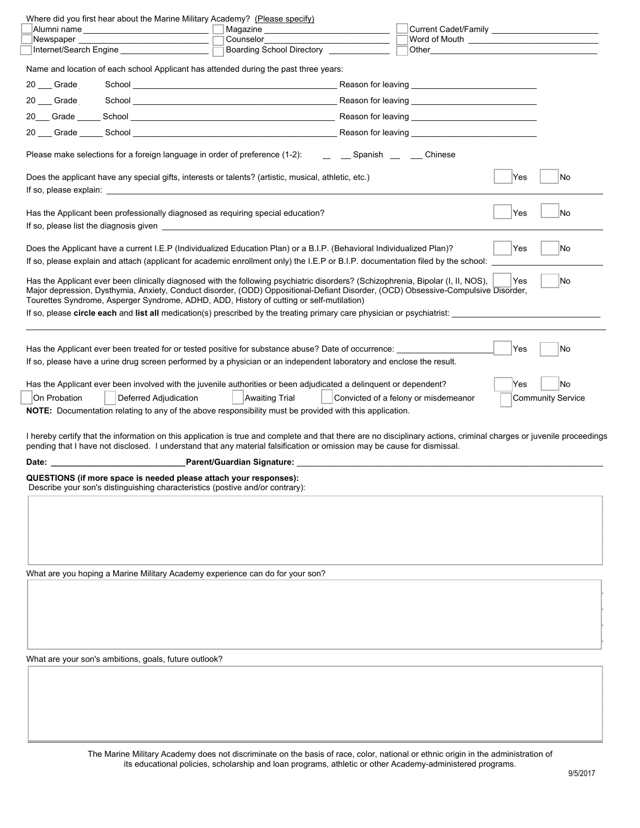|              |                                                                   | Where did you first hear about the Marine Military Academy? (Please specify)                                                                                                                                                                                                                                                                                      |                                      |     |                          |
|--------------|-------------------------------------------------------------------|-------------------------------------------------------------------------------------------------------------------------------------------------------------------------------------------------------------------------------------------------------------------------------------------------------------------------------------------------------------------|--------------------------------------|-----|--------------------------|
|              |                                                                   | Alumni name _________________________ □ Magazine ______________________________                                                                                                                                                                                                                                                                                   |                                      |     |                          |
|              |                                                                   |                                                                                                                                                                                                                                                                                                                                                                   |                                      |     |                          |
|              |                                                                   | Boarding School Directory _____________                                                                                                                                                                                                                                                                                                                           |                                      |     |                          |
|              |                                                                   | Name and location of each school Applicant has attended during the past three years:                                                                                                                                                                                                                                                                              |                                      |     |                          |
|              |                                                                   |                                                                                                                                                                                                                                                                                                                                                                   |                                      |     |                          |
|              |                                                                   | 20 Grade School Communication of the School Communication of the School Communication of the School Communication of the School Communication of the School Communication of the School Communication of the School Communicat                                                                                                                                    |                                      |     |                          |
|              |                                                                   |                                                                                                                                                                                                                                                                                                                                                                   |                                      |     |                          |
|              |                                                                   | 20 Grade Construction School Construction Construction Construction Construction Construction Construction Construction Construction Construction Construction Construction Construction Construction Construction Constructio                                                                                                                                    |                                      |     |                          |
|              |                                                                   |                                                                                                                                                                                                                                                                                                                                                                   |                                      |     |                          |
|              |                                                                   | Please make selections for a foreign language in order of preference (1-2): __ _ _ _ Spanish __ _ _ Chinese                                                                                                                                                                                                                                                       |                                      |     |                          |
|              |                                                                   | Does the applicant have any special gifts, interests or talents? (artistic, musical, athletic, etc.)                                                                                                                                                                                                                                                              |                                      | Yes | No                       |
|              |                                                                   | Has the Applicant been professionally diagnosed as requiring special education?                                                                                                                                                                                                                                                                                   |                                      | Yes | No                       |
|              |                                                                   |                                                                                                                                                                                                                                                                                                                                                                   |                                      |     |                          |
|              |                                                                   |                                                                                                                                                                                                                                                                                                                                                                   |                                      |     |                          |
|              |                                                                   | Does the Applicant have a current I.E.P (Individualized Education Plan) or a B.I.P. (Behavioral Individualized Plan)?                                                                                                                                                                                                                                             |                                      | Yes | lNo                      |
|              |                                                                   | If so, please explain and attach (applicant for academic enrollment only) the I.E.P or B.I.P. documentation filed by the school:                                                                                                                                                                                                                                  |                                      |     |                          |
|              |                                                                   | Has the Applicant ever been clinically diagnosed with the following psychiatric disorders? (Schizophrenia, Bipolar (I, II, NOS),<br>Major depression, Dysthymia, Anxiety, Conduct disorder, (ODD) Oppositional-Defiant Disorder, (OCD) Obsessive-Compulsive Disorder,<br>Tourettes Syndrome, Asperger Syndrome, ADHD, ADD, History of cutting or self-mutilation) |                                      | Yes | No                       |
|              |                                                                   | If so, please circle each and list all medication(s) prescribed by the treating primary care physician or psychiatrist:                                                                                                                                                                                                                                           |                                      |     |                          |
|              |                                                                   |                                                                                                                                                                                                                                                                                                                                                                   |                                      |     |                          |
|              |                                                                   |                                                                                                                                                                                                                                                                                                                                                                   |                                      |     |                          |
|              |                                                                   | Has the Applicant ever been treated for or tested positive for substance abuse? Date of occurrence: _________                                                                                                                                                                                                                                                     |                                      | Yes | No                       |
|              |                                                                   | If so, please have a urine drug screen performed by a physician or an independent laboratory and enclose the result.                                                                                                                                                                                                                                              |                                      |     |                          |
|              |                                                                   | Has the Applicant ever been involved with the juvenile authorities or been adjudicated a delinquent or dependent?                                                                                                                                                                                                                                                 |                                      | Yes | No                       |
| On Probation | Deferred Adjudication                                             | <b>Awaiting Trial</b>                                                                                                                                                                                                                                                                                                                                             | Convicted of a felony or misdemeanor |     | <b>Community Service</b> |
|              |                                                                   | NOTE: Documentation relating to any of the above responsibility must be provided with this application.                                                                                                                                                                                                                                                           |                                      |     |                          |
|              |                                                                   |                                                                                                                                                                                                                                                                                                                                                                   |                                      |     |                          |
|              |                                                                   | I hereby certify that the information on this application is true and complete and that there are no disciplinary actions, criminal charges or juvenile proceedings<br>pending that I have not disclosed. I understand that any material falsification or omission may be cause for dismissal.                                                                    |                                      |     |                          |
|              |                                                                   |                                                                                                                                                                                                                                                                                                                                                                   |                                      |     |                          |
|              | QUESTIONS (if more space is needed please attach your responses): |                                                                                                                                                                                                                                                                                                                                                                   |                                      |     |                          |
|              |                                                                   | Describe your son's distinguishing characteristics (postive and/or contrary):                                                                                                                                                                                                                                                                                     |                                      |     |                          |
|              |                                                                   |                                                                                                                                                                                                                                                                                                                                                                   |                                      |     |                          |
|              |                                                                   |                                                                                                                                                                                                                                                                                                                                                                   |                                      |     |                          |
|              |                                                                   |                                                                                                                                                                                                                                                                                                                                                                   |                                      |     |                          |
|              |                                                                   |                                                                                                                                                                                                                                                                                                                                                                   |                                      |     |                          |
|              |                                                                   |                                                                                                                                                                                                                                                                                                                                                                   |                                      |     |                          |
|              |                                                                   |                                                                                                                                                                                                                                                                                                                                                                   |                                      |     |                          |
|              |                                                                   | What are you hoping a Marine Military Academy experience can do for your son?                                                                                                                                                                                                                                                                                     |                                      |     |                          |
|              |                                                                   |                                                                                                                                                                                                                                                                                                                                                                   |                                      |     |                          |
|              |                                                                   |                                                                                                                                                                                                                                                                                                                                                                   |                                      |     |                          |
|              |                                                                   |                                                                                                                                                                                                                                                                                                                                                                   |                                      |     |                          |
|              |                                                                   |                                                                                                                                                                                                                                                                                                                                                                   |                                      |     |                          |
|              |                                                                   |                                                                                                                                                                                                                                                                                                                                                                   |                                      |     |                          |
|              | What are your son's ambitions, goals, future outlook?             |                                                                                                                                                                                                                                                                                                                                                                   |                                      |     |                          |
|              |                                                                   |                                                                                                                                                                                                                                                                                                                                                                   |                                      |     |                          |
|              |                                                                   |                                                                                                                                                                                                                                                                                                                                                                   |                                      |     |                          |
|              |                                                                   |                                                                                                                                                                                                                                                                                                                                                                   |                                      |     |                          |
|              |                                                                   |                                                                                                                                                                                                                                                                                                                                                                   |                                      |     |                          |
|              |                                                                   |                                                                                                                                                                                                                                                                                                                                                                   |                                      |     |                          |

The Marine Military Academy does not discriminate on the basis of race, color, national or ethnic origin in the administration of its educational policies, scholarship and loan programs, athletic or other Academy-administered programs.

 $\Box$  . The contribution of the contribution of the contribution of the contribution of the contribution of the contribution of the contribution of the contribution of the contribution of the contribution of the contributi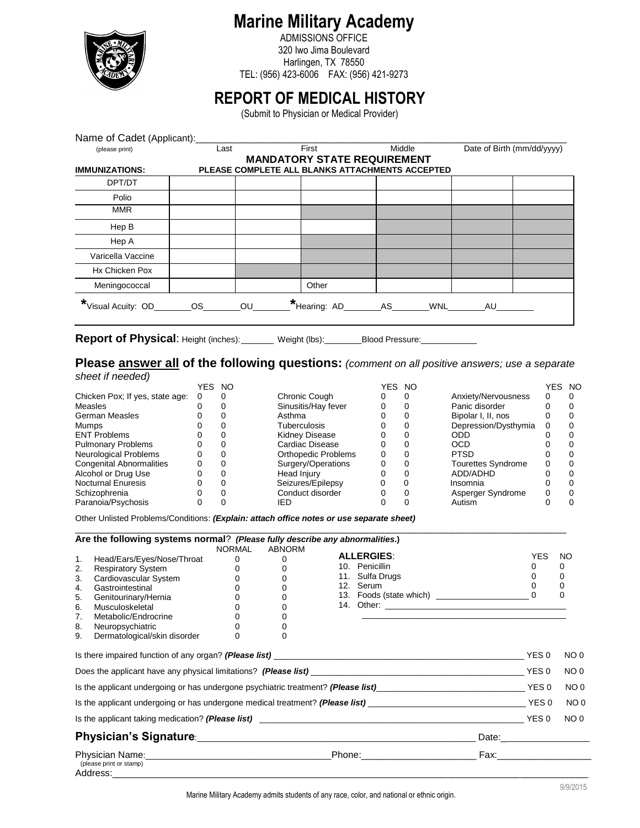

ADMISSIONS OFFICE 320 Iwo Jima Boulevard Harlingen, TX 78550 TEL: (956) 423-6006 FAX: (956) 421-9273

# **REPORT OF MEDICAL HISTORY**

(Submit to Physician or Medical Provider)

| Name of Cadet (Applicant):            |      |           |                                                 |                            |  |  |  |  |  |
|---------------------------------------|------|-----------|-------------------------------------------------|----------------------------|--|--|--|--|--|
| (please print)                        | Last | First     | Middle                                          | Date of Birth (mm/dd/yyyy) |  |  |  |  |  |
| <b>MANDATORY STATE REQUIREMENT</b>    |      |           |                                                 |                            |  |  |  |  |  |
| <b>IMMUNIZATIONS:</b>                 |      |           | PLEASE COMPLETE ALL BLANKS ATTACHMENTS ACCEPTED |                            |  |  |  |  |  |
| DPT/DT                                |      |           |                                                 |                            |  |  |  |  |  |
| Polio                                 |      |           |                                                 |                            |  |  |  |  |  |
| <b>MMR</b>                            |      |           |                                                 |                            |  |  |  |  |  |
| Hep B                                 |      |           |                                                 |                            |  |  |  |  |  |
| Hep A                                 |      |           |                                                 |                            |  |  |  |  |  |
| Varicella Vaccine                     |      |           |                                                 |                            |  |  |  |  |  |
| Hx Chicken Pox                        |      |           |                                                 |                            |  |  |  |  |  |
| Meningococcal                         |      | Other     |                                                 |                            |  |  |  |  |  |
| *Visual Acuity: OD_________OS________ |      | <b>OU</b> | *Hearing: AD________AS_______                   | WNL AU                     |  |  |  |  |  |

**Report of Physical:** Height (inches): \_\_\_\_\_\_\_ Weight (lbs): \_\_\_\_\_\_\_Blood Pressure: \_\_\_

#### **Please answer all of the following questions:** *(comment on all positive answers; use a separate sheet if needed)*

|                                 | /ES      | NO. |                            | YES | <b>NO</b> |                           | YES. | - NO |
|---------------------------------|----------|-----|----------------------------|-----|-----------|---------------------------|------|------|
| Chicken Pox; If yes, state age: | $\Omega$ |     | Chronic Cough              |     |           | Anxiety/Nervousness       |      |      |
| <b>Measles</b>                  |          |     | Sinusitis/Hay fever        |     |           | Panic disorder            |      |      |
| <b>German Measles</b>           |          |     | Asthma                     |     |           | Bipolar I, II, nos        |      |      |
| Mumps                           |          |     | Tuberculosis               |     |           | Depression/Dysthymia      | 0    |      |
| <b>ENT Problems</b>             |          |     | Kidney Disease             |     |           | ODD                       |      |      |
| <b>Pulmonary Problems</b>       | Ω        |     | Cardiac Disease            |     |           | <b>OCD</b>                |      |      |
| Neurological Problems           | 0        |     | <b>Orthopedic Problems</b> | 0   |           | <b>PTSD</b>               |      |      |
| <b>Congenital Abnormalities</b> | 0        |     | Surgery/Operations         |     |           | <b>Tourettes Syndrome</b> |      |      |
| Alcohol or Drug Use             | 0        |     | Head Injury                |     |           | ADD/ADHD                  |      |      |
| <b>Nocturnal Enuresis</b>       | Ω        |     | Seizures/Epilepsy          |     |           | Insomnia                  |      |      |
| Schizophrenia                   |          |     | Conduct disorder           |     |           | Asperger Syndrome         |      |      |
| Paranoia/Psychosis              |          |     | IED                        |     |           | Autism                    |      |      |

Other Unlisted Problems/Conditions: *(Explain: attach office notes or use separate sheet)* 

|    | Are the following systems normal? (Please fully describe any abnormalities.)                                                                                                                                                                                          | NORMAL   | <b>ABNORM</b> |                   |                                                                                                                |                                    |
|----|-----------------------------------------------------------------------------------------------------------------------------------------------------------------------------------------------------------------------------------------------------------------------|----------|---------------|-------------------|----------------------------------------------------------------------------------------------------------------|------------------------------------|
| 1. | Head/Ears/Eyes/Nose/Throat                                                                                                                                                                                                                                            | $\Omega$ | $\Omega$      | <b>ALLERGIES:</b> | <b>YES</b>                                                                                                     | NO                                 |
| 2. | <b>Respiratory System</b>                                                                                                                                                                                                                                             | $\Omega$ |               | 10. Penicillin    | 0                                                                                                              | 0                                  |
| 3. | Cardiovascular System                                                                                                                                                                                                                                                 | 0        | 0             | 11. Sulfa Drugs   | 0                                                                                                              | 0                                  |
| 4. | Gastrointestinal                                                                                                                                                                                                                                                      | 0        |               | 12. Serum         | 0                                                                                                              | 0                                  |
| 5. | Genitourinary/Hernia                                                                                                                                                                                                                                                  |          |               |                   |                                                                                                                | 0                                  |
| 6. | Musculoskeletal                                                                                                                                                                                                                                                       |          | 0             |                   |                                                                                                                |                                    |
| 7. | Metabolic/Endrocrine                                                                                                                                                                                                                                                  |          |               |                   |                                                                                                                |                                    |
| 8. | Neuropsychiatric                                                                                                                                                                                                                                                      |          |               |                   |                                                                                                                |                                    |
| 9. | Dermatological/skin disorder                                                                                                                                                                                                                                          |          | 0             |                   |                                                                                                                |                                    |
|    |                                                                                                                                                                                                                                                                       |          |               |                   | YES 0                                                                                                          | NO <sub>0</sub><br>NO <sub>0</sub> |
|    | Is the applicant undergoing or has undergone psychiatric treatment? (Please list)___________________________________YES 0                                                                                                                                             |          |               |                   |                                                                                                                | NO <sub>0</sub>                    |
|    |                                                                                                                                                                                                                                                                       |          |               |                   |                                                                                                                | NO <sub>0</sub>                    |
|    |                                                                                                                                                                                                                                                                       |          |               |                   |                                                                                                                | NO <sub>0</sub>                    |
|    |                                                                                                                                                                                                                                                                       |          |               |                   | Date: <u>Date:</u>                                                                                             |                                    |
|    | Physician Name: the contract of the contract of the Phone: the contract of the contract of the contract of the contract of the contract of the contract of the contract of the contract of the contract of the contract of the<br>(please print or stamp)<br>Address: |          |               |                   | Fax: where the contract of the contract of the contract of the contract of the contract of the contract of the |                                    |

Marine Military Academy admits students of any race, color, and national or ethnic origin.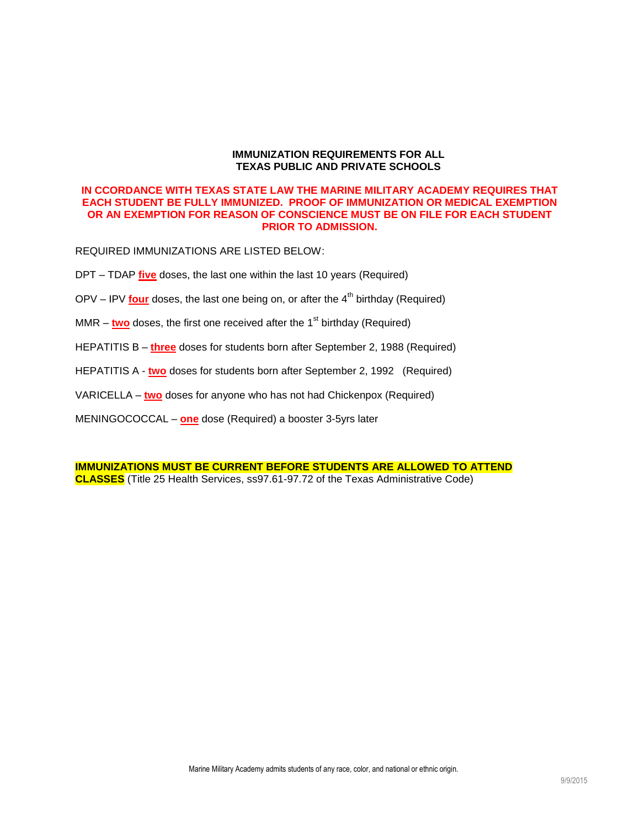#### **IMMUNIZATION REQUIREMENTS FOR ALL TEXAS PUBLIC AND PRIVATE SCHOOLS**

#### **IN CCORDANCE WITH TEXAS STATE LAW THE MARINE MILITARY ACADEMY REQUIRES THAT EACH STUDENT BE FULLY IMMUNIZED. PROOF OF IMMUNIZATION OR MEDICAL EXEMPTION OR AN EXEMPTION FOR REASON OF CONSCIENCE MUST BE ON FILE FOR EACH STUDENT PRIOR TO ADMISSION.**

REQUIRED IMMUNIZATIONS ARE LISTED BELOW:

- DPT TDAP **five** doses, the last one within the last 10 years (Required)
- OPV IPV **four** doses, the last one being on, or after the 4<sup>th</sup> birthday (Required)
- MMR  $-$  two doses, the first one received after the  $1<sup>st</sup>$  birthday (Required)
- HEPATITIS B **three** doses for students born after September 2, 1988 (Required)
- HEPATITIS A **two** doses for students born after September 2, 1992 (Required)
- VARICELLA **two** doses for anyone who has not had Chickenpox (Required)
- MENINGOCOCCAL **one** dose (Required) a booster 3-5yrs later

**IMMUNIZATIONS MUST BE CURRENT BEFORE STUDENTS ARE ALLOWED TO ATTEND CLASSES** (Title 25 Health Services, ss97.61-97.72 of the Texas Administrative Code)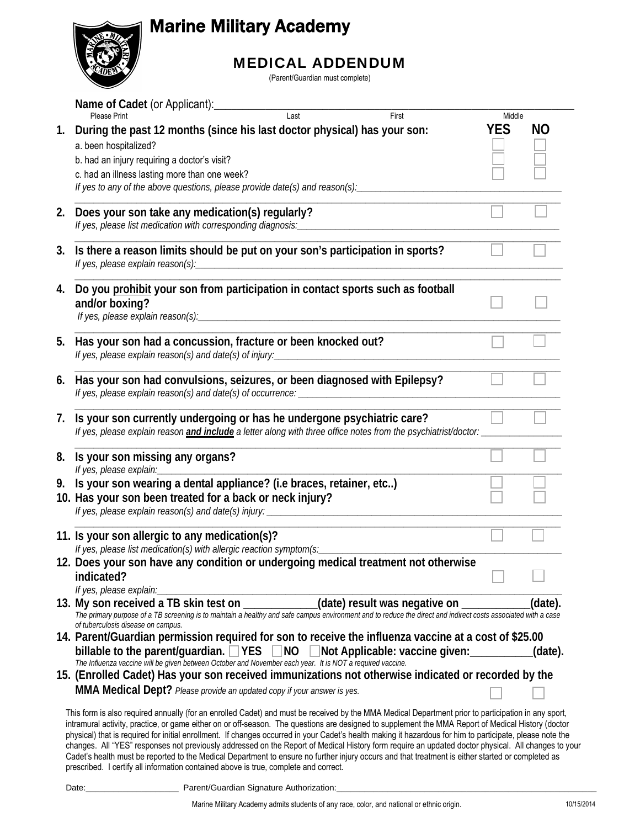

## MEDICAL ADDENDUM

(Parent/Guardian must complete)

|    | Name of Cadet (or Applicant):<br>Last<br><b>Please Print</b><br>First                                                                                                                                                                                                                                                                                                                                                                                                                                                                                                                                                     |                      |         |
|----|---------------------------------------------------------------------------------------------------------------------------------------------------------------------------------------------------------------------------------------------------------------------------------------------------------------------------------------------------------------------------------------------------------------------------------------------------------------------------------------------------------------------------------------------------------------------------------------------------------------------------|----------------------|---------|
| 1. | During the past 12 months (since his last doctor physical) has your son:                                                                                                                                                                                                                                                                                                                                                                                                                                                                                                                                                  | Middle<br><b>YES</b> | NO      |
|    | a. been hospitalized?                                                                                                                                                                                                                                                                                                                                                                                                                                                                                                                                                                                                     |                      |         |
|    | b. had an injury requiring a doctor's visit?                                                                                                                                                                                                                                                                                                                                                                                                                                                                                                                                                                              |                      |         |
|    | c. had an illness lasting more than one week?                                                                                                                                                                                                                                                                                                                                                                                                                                                                                                                                                                             |                      |         |
|    | If yes to any of the above questions, please provide date(s) and reason(s):                                                                                                                                                                                                                                                                                                                                                                                                                                                                                                                                               |                      |         |
| 2. | Does your son take any medication(s) regularly?                                                                                                                                                                                                                                                                                                                                                                                                                                                                                                                                                                           |                      |         |
|    | If yes, please list medication with corresponding diagnosis:<br><u> 2000 - 2000 - 2000 - 2000 - 2000 - 2000 - 2000 - 2000 - 2000 - 2000 - 2000 - 2000 - 2000 - 2000 - 2000 - 200</u>                                                                                                                                                                                                                                                                                                                                                                                                                                      |                      |         |
|    |                                                                                                                                                                                                                                                                                                                                                                                                                                                                                                                                                                                                                           |                      |         |
| 3. | Is there a reason limits should be put on your son's participation in sports?                                                                                                                                                                                                                                                                                                                                                                                                                                                                                                                                             |                      |         |
| 4. | Do you prohibit your son from participation in contact sports such as football                                                                                                                                                                                                                                                                                                                                                                                                                                                                                                                                            |                      |         |
|    | and/or boxing?                                                                                                                                                                                                                                                                                                                                                                                                                                                                                                                                                                                                            |                      |         |
|    |                                                                                                                                                                                                                                                                                                                                                                                                                                                                                                                                                                                                                           |                      |         |
| 5. | Has your son had a concussion, fracture or been knocked out?                                                                                                                                                                                                                                                                                                                                                                                                                                                                                                                                                              |                      |         |
|    |                                                                                                                                                                                                                                                                                                                                                                                                                                                                                                                                                                                                                           |                      |         |
|    |                                                                                                                                                                                                                                                                                                                                                                                                                                                                                                                                                                                                                           |                      |         |
| 6. | Has your son had convulsions, seizures, or been diagnosed with Epilepsy?                                                                                                                                                                                                                                                                                                                                                                                                                                                                                                                                                  |                      |         |
| 7. | Is your son currently undergoing or has he undergone psychiatric care?                                                                                                                                                                                                                                                                                                                                                                                                                                                                                                                                                    |                      |         |
| 8. | Is your son missing any organs?                                                                                                                                                                                                                                                                                                                                                                                                                                                                                                                                                                                           |                      |         |
| 9. | Is your son wearing a dental appliance? (i.e braces, retainer, etc)                                                                                                                                                                                                                                                                                                                                                                                                                                                                                                                                                       |                      |         |
|    | 10. Has your son been treated for a back or neck injury?                                                                                                                                                                                                                                                                                                                                                                                                                                                                                                                                                                  |                      |         |
|    |                                                                                                                                                                                                                                                                                                                                                                                                                                                                                                                                                                                                                           |                      |         |
|    | 11. Is your son allergic to any medication(s)?                                                                                                                                                                                                                                                                                                                                                                                                                                                                                                                                                                            |                      |         |
|    | If yes, please list medication(s) with allergic reaction symptom(s:                                                                                                                                                                                                                                                                                                                                                                                                                                                                                                                                                       |                      |         |
|    | 12. Does your son have any condition or undergoing medical treatment not otherwise                                                                                                                                                                                                                                                                                                                                                                                                                                                                                                                                        |                      |         |
|    | indicated?                                                                                                                                                                                                                                                                                                                                                                                                                                                                                                                                                                                                                |                      |         |
|    | If yes, please explain:_________                                                                                                                                                                                                                                                                                                                                                                                                                                                                                                                                                                                          |                      |         |
|    | 13. My son received a TB skin test on ___________(date) result was negative on ___________<br>The primary purpose of a TB screening is to maintain a healthy and safe campus environment and to reduce the direct and indirect costs associated with a case<br>of tuberculosis disease on campus.                                                                                                                                                                                                                                                                                                                         |                      | (date). |
|    | 14. Parent/Guardian permission required for son to receive the influenza vaccine at a cost of \$25.00                                                                                                                                                                                                                                                                                                                                                                                                                                                                                                                     |                      |         |
|    | billable to the parent/guardian. VES MO Mot Applicable: vaccine given: ________(date).                                                                                                                                                                                                                                                                                                                                                                                                                                                                                                                                    |                      |         |
|    | The Influenza vaccine will be given between October and November each year. It is NOT a required vaccine.                                                                                                                                                                                                                                                                                                                                                                                                                                                                                                                 |                      |         |
|    | 15. (Enrolled Cadet) Has your son received immunizations not otherwise indicated or recorded by the                                                                                                                                                                                                                                                                                                                                                                                                                                                                                                                       |                      |         |
|    | MMA Medical Dept? Please provide an updated copy if your answer is yes.                                                                                                                                                                                                                                                                                                                                                                                                                                                                                                                                                   |                      |         |
|    | This form is also required annually (for an enrolled Cadet) and must be received by the MMA Medical Department prior to participation in any sport,<br>intramural activity, practice, or game either on or off-season. The questions are designed to supplement the MMA Report of Medical History (doctor<br>physical) that is required for initial enrollment. If changes occurred in your Cadet's health making it hazardous for him to participate, please note the<br>changes All "YES" responses not previously addressed on the Report of Medical History form require an undated doctor physical All changes to yo |                      |         |

nges. All "YES" responses not previously addressed on the Report of Medical History form require an updated doctor physical. All changes to your Cadet's health must be reported to the Medical Department to ensure no further injury occurs and that treatment is either started or completed as prescribed. I certify all information contained above is true, complete and correct.

Date:\_\_\_\_\_\_\_\_\_\_\_\_\_\_\_\_\_\_\_\_ Parent/Guardian Signature Authorization:\_\_\_\_\_\_\_\_\_\_\_\_\_\_\_\_\_\_\_\_\_\_\_\_\_\_\_\_\_\_\_\_\_\_\_\_\_\_\_\_\_\_\_\_\_\_\_\_\_\_\_\_\_\_\_\_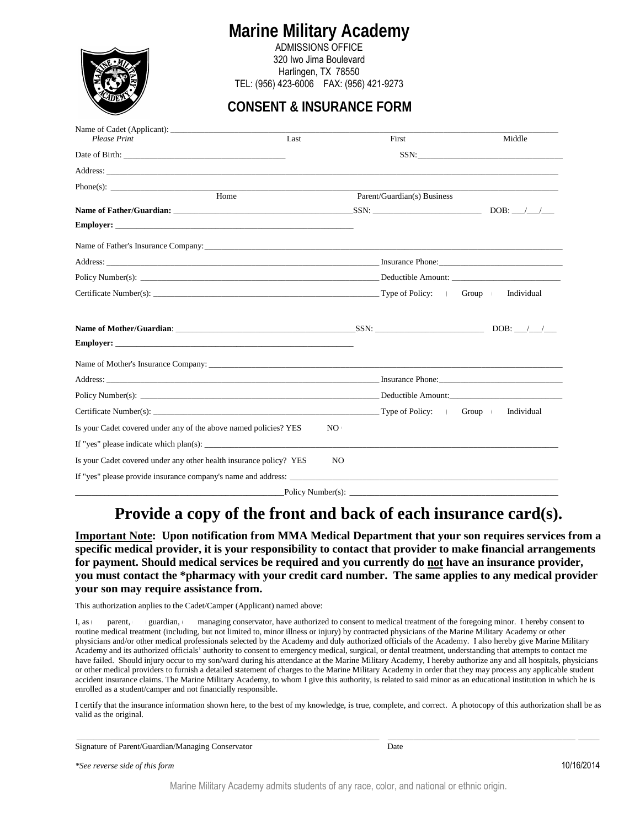

ADMISSIONS OFFICE 320 Iwo Jima Boulevard Harlingen, TX 78550 TEL: (956) 423-6006 FAX: (956) 421-9273

### **CONSENT & INSURANCE FORM**

| <b>Please Print</b>                                                | Last | First                       | Middle |
|--------------------------------------------------------------------|------|-----------------------------|--------|
|                                                                    |      |                             |        |
|                                                                    |      |                             |        |
|                                                                    |      |                             |        |
| Home                                                               |      | Parent/Guardian(s) Business |        |
|                                                                    |      |                             |        |
|                                                                    |      |                             |        |
|                                                                    |      |                             |        |
|                                                                    |      |                             |        |
|                                                                    |      |                             |        |
|                                                                    |      |                             |        |
|                                                                    |      |                             |        |
|                                                                    |      |                             |        |
|                                                                    |      |                             |        |
|                                                                    |      |                             |        |
|                                                                    |      |                             |        |
|                                                                    |      |                             |        |
|                                                                    |      |                             |        |
| Is your Cadet covered under any of the above named policies? YES   | NO.  |                             |        |
|                                                                    |      |                             |        |
| Is your Cadet covered under any other health insurance policy? YES | NO.  |                             |        |
| If "yes" please provide insurance company's name and address:      |      |                             |        |
|                                                                    |      |                             |        |

Policy Number(s):

## **Provide a copy of the front and back of each insurance card(s).**

**Important Note: Upon notification from MMA Medical Department that your son requires services from a specific medical provider, it is your responsibility to contact that provider to make financial arrangements for payment. Should medical services be required and you currently do not have an insurance provider, you must contact the \*pharmacy with your credit card number. The same applies to any medical provider your son may require assistance from.** 

This authorization applies to the Cadet/Camper (Applicant) named above:

I, as parent, guardian, managing conservator, have authorized to consent to medical treatment of the foregoing minor. I hereby consent to routine medical treatment (including, but not limited to, minor illness or injury) by contracted physicians of the Marine Military Academy or other physicians and/or other medical professionals selected by the Academy and duly authorized officials of the Academy. I also hereby give Marine Military Academy and its authorized officials' authority to consent to emergency medical, surgical, or dental treatment, understanding that attempts to contact me have failed. Should injury occur to my son/ward during his attendance at the Marine Military Academy, I hereby authorize any and all hospitals, physicians or other medical providers to furnish a detailed statement of charges to the Marine Military Academy in order that they may process any applicable student accident insurance claims. The Marine Military Academy, to whom I give this authority, is related to said minor as an educational institution in which he is enrolled as a student/camper and not financially responsible.

I certify that the insurance information shown here, to the best of my knowledge, is true, complete, and correct. A photocopy of this authorization shall be as valid as the original.

\_\_\_\_\_\_\_\_\_\_\_\_\_\_\_\_\_\_\_\_\_\_\_\_\_\_\_\_\_\_\_\_\_\_\_\_\_\_\_\_\_\_\_\_\_\_\_\_\_\_\_\_\_\_\_\_\_\_\_\_\_\_\_\_\_\_\_\_\_\_\_ \_\_\_\_\_\_\_\_\_\_\_\_\_\_\_\_\_\_\_\_\_\_\_\_\_\_\_\_\_\_\_\_\_\_\_\_\_\_\_\_\_\_\_\_ \_\_\_\_\_

Signature of Parent/Guardian/Managing Conservator Date

*\*See reverse side of this form*